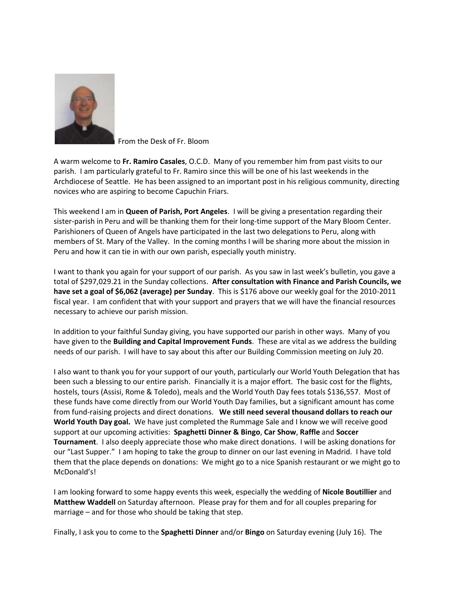

From the Desk of Fr. Bloom

A warm welcome to **Fr. Ramiro Casales**, O.C.D. Many of you remember him from past visits to our parish. I am particularly grateful to Fr. Ramiro since this will be one of his last weekends in the Archdiocese of Seattle. He has been assigned to an important post in his religious community, directing novices who are aspiring to become Capuchin Friars.

This weekend I am in **Queen of Parish, Port Angeles**. I will be giving a presentation regarding their sister-parish in Peru and will be thanking them for their long-time support of the Mary Bloom Center. Parishioners of Queen of Angels have participated in the last two delegations to Peru, along with members of St. Mary of the Valley. In the coming months I will be sharing more about the mission in Peru and how it can tie in with our own parish, especially youth ministry.

I want to thank you again for your support of our parish. As you saw in last week's bulletin, you gave a total of \$297,029.21 in the Sunday collections. **After consultation with Finance and Parish Councils, we have set a goal of \$6,062 (average) per Sunday**. This is \$176 above our weekly goal for the 2010-2011 fiscal year. I am confident that with your support and prayers that we will have the financial resources necessary to achieve our parish mission.

In addition to your faithful Sunday giving, you have supported our parish in other ways. Many of you have given to the **Building and Capital Improvement Funds**. These are vital as we address the building needs of our parish. I will have to say about this after our Building Commission meeting on July 20.

I also want to thank you for your support of our youth, particularly our World Youth Delegation that has been such a blessing to our entire parish. Financially it is a major effort. The basic cost for the flights, hostels, tours (Assisi, Rome & Toledo), meals and the World Youth Day fees totals \$136,557. Most of these funds have come directly from our World Youth Day families, but a significant amount has come from fund-raising projects and direct donations. **We still need several thousand dollars to reach our World Youth Day goal.** We have just completed the Rummage Sale and I know we will receive good support at our upcoming activities: **Spaghetti Dinner & Bingo**, **Car Show**, **Raffle** and **Soccer Tournament**. I also deeply appreciate those who make direct donations. I will be asking donations for our "Last Supper." I am hoping to take the group to dinner on our last evening in Madrid. I have told them that the place depends on donations: We might go to a nice Spanish restaurant or we might go to McDonald's!

I am looking forward to some happy events this week, especially the wedding of **Nicole Boutillier** and **Matthew Waddell** on Saturday afternoon. Please pray for them and for all couples preparing for marriage – and for those who should be taking that step.

Finally, I ask you to come to the **Spaghetti Dinner** and/or **Bingo** on Saturday evening (July 16). The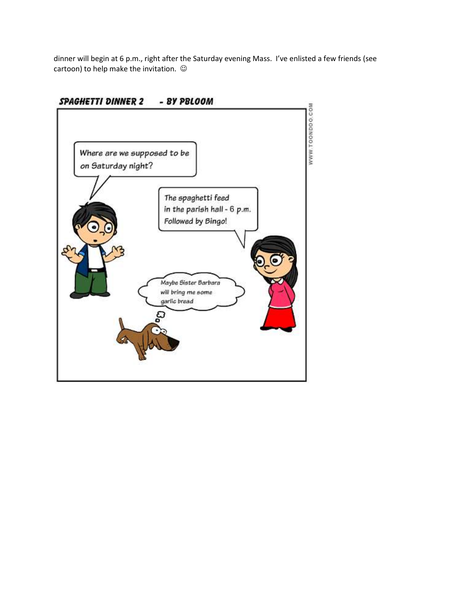dinner will begin at 6 p.m., right after the Saturday evening Mass. I've enlisted a few friends (see cartoon) to help make the invitation.